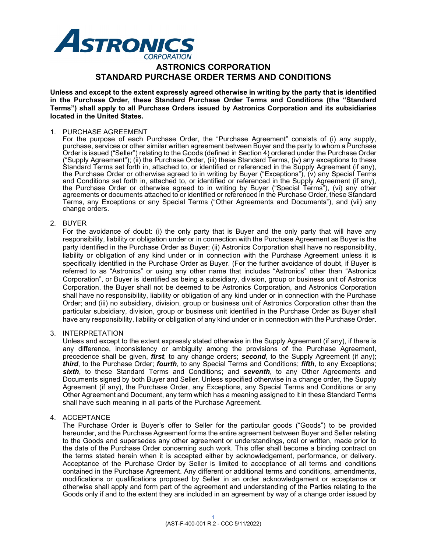

# **ASTRONICS CORPORATION STANDARD PURCHASE ORDER TERMS AND CONDITIONS**

**Unless and except to the extent expressly agreed otherwise in writing by the party that is identified in the Purchase Order, these Standard Purchase Order Terms and Conditions (the "Standard Terms") shall apply to all Purchase Orders issued by Astronics Corporation and its subsidiaries located in the United States.**

#### 1. PURCHASE AGREEMENT

For the purpose of each Purchase Order, the "Purchase Agreement" consists of (i) any supply, purchase, services or other similar written agreement between Buyer and the party to whom a Purchase Order is issued ("Seller") relating to the Goods (defined in Section 4) ordered under the Purchase Order ("Supply Agreement"); (ii) the Purchase Order, (iii) these Standard Terms, (iv) any exceptions to these Standard Terms set forth in, attached to, or identified or referenced in the Supply Agreement (if any), the Purchase Order or otherwise agreed to in writing by Buyer ("Exceptions"), (v) any Special Terms and Conditions set forth in, attached to, or identified or referenced in the Supply Agreement (if any), the Purchase Order or otherwise agreed to in writing by Buyer ("Special Terms"), (vi) any other agreements or documents attached to or identified or referenced in the Purchase Order, these Standard Terms, any Exceptions or any Special Terms ("Other Agreements and Documents"), and (vii) any change orders.

#### 2. BUYER

For the avoidance of doubt: (i) the only party that is Buyer and the only party that will have any responsibility, liability or obligation under or in connection with the Purchase Agreement as Buyer is the party identified in the Purchase Order as Buyer; (ii) Astronics Corporation shall have no responsibility, liability or obligation of any kind under or in connection with the Purchase Agreement unless it is specifically identified in the Purchase Order as Buyer. (For the further avoidance of doubt, if Buyer is referred to as "Astronics" or using any other name that includes "Astronics" other than "Astronics Corporation", or Buyer is identified as being a subsidiary, division, group or business unit of Astronics Corporation, the Buyer shall not be deemed to be Astronics Corporation, and Astronics Corporation shall have no responsibility, liability or obligation of any kind under or in connection with the Purchase Order; and (iii) no subsidiary, division, group or business unit of Astronics Corporation other than the particular subsidiary, division, group or business unit identified in the Purchase Order as Buyer shall have any responsibility, liability or obligation of any kind under or in connection with the Purchase Order.

### 3. INTERPRETATION

Unless and except to the extent expressly stated otherwise in the Supply Agreement (if any), if there is any difference, inconsistency or ambiguity among the provisions of the Purchase Agreement, precedence shall be given, *first*, to any change orders; *second*, to the Supply Agreement (if any); *third*, to the Purchase Order; *fourth*, to any Special Terms and Conditions; *fifth*, to any Exceptions; *sixth*, to these Standard Terms and Conditions; and *seventh*, to any Other Agreements and Documents signed by both Buyer and Seller. Unless specified otherwise in a change order, the Supply Agreement (if any), the Purchase Order, any Exceptions, any Special Terms and Conditions or any Other Agreement and Document, any term which has a meaning assigned to it in these Standard Terms shall have such meaning in all parts of the Purchase Agreement.

#### 4. ACCEPTANCE

The Purchase Order is Buyer's offer to Seller for the particular goods ("Goods") to be provided hereunder, and the Purchase Agreement forms the entire agreement between Buyer and Seller relating to the Goods and supersedes any other agreement or understandings, oral or written, made prior to the date of the Purchase Order concerning such work. This offer shall become a binding contract on the terms stated herein when it is accepted either by acknowledgement, performance, or delivery. Acceptance of the Purchase Order by Seller is limited to acceptance of all terms and conditions contained in the Purchase Agreement. Any different or additional terms and conditions, amendments, modifications or qualifications proposed by Seller in an order acknowledgement or acceptance or otherwise shall apply and form part of the agreement and understanding of the Parties relating to the Goods only if and to the extent they are included in an agreement by way of a change order issued by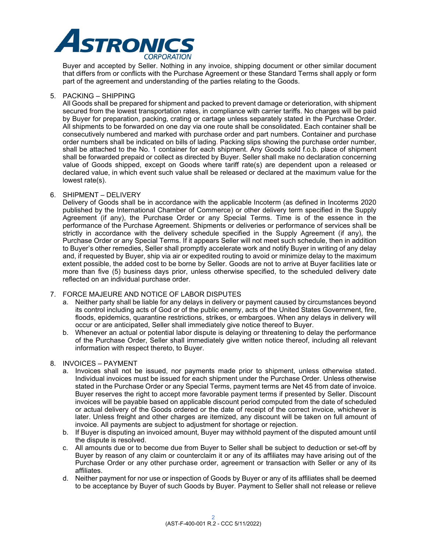

Buyer and accepted by Seller. Nothing in any invoice, shipping document or other similar document that differs from or conflicts with the Purchase Agreement or these Standard Terms shall apply or form part of the agreement and understanding of the parties relating to the Goods.

#### 5. PACKING – SHIPPING

All Goods shall be prepared for shipment and packed to prevent damage or deterioration, with shipment secured from the lowest transportation rates, in compliance with carrier tariffs. No charges will be paid by Buyer for preparation, packing, crating or cartage unless separately stated in the Purchase Order. All shipments to be forwarded on one day via one route shall be consolidated. Each container shall be consecutively numbered and marked with purchase order and part numbers. Container and purchase order numbers shall be indicated on bills of lading. Packing slips showing the purchase order number, shall be attached to the No. 1 container for each shipment. Any Goods sold f.o.b. place of shipment shall be forwarded prepaid or collect as directed by Buyer. Seller shall make no declaration concerning value of Goods shipped, except on Goods where tariff rate(s) are dependent upon a released or declared value, in which event such value shall be released or declared at the maximum value for the lowest rate(s).

#### 6. SHIPMENT – DELIVERY

Delivery of Goods shall be in accordance with the applicable Incoterm (as defined in Incoterms 2020 published by the International Chamber of Commerce) or other delivery term specified in the Supply Agreement (if any), the Purchase Order or any Special Terms. Time is of the essence in the performance of the Purchase Agreement. Shipments or deliveries or performance of services shall be strictly in accordance with the delivery schedule specified in the Supply Agreement (if any), the Purchase Order or any Special Terms. If it appears Seller will not meet such schedule, then in addition to Buyer's other remedies, Seller shall promptly accelerate work and notify Buyer in writing of any delay and, if requested by Buyer, ship via air or expedited routing to avoid or minimize delay to the maximum extent possible, the added cost to be borne by Seller. Goods are not to arrive at Buyer facilities late or more than five (5) business days prior, unless otherwise specified, to the scheduled delivery date reflected on an individual purchase order.

### 7. FORCE MAJEURE AND NOTICE OF LABOR DISPUTES

- a. Neither party shall be liable for any delays in delivery or payment caused by circumstances beyond its control including acts of God or of the public enemy, acts of the United States Government, fire, floods, epidemics, quarantine restrictions, strikes, or embargoes. When any delays in delivery will occur or are anticipated, Seller shall immediately give notice thereof to Buyer.
- b. Whenever an actual or potential labor dispute is delaying or threatening to delay the performance of the Purchase Order, Seller shall immediately give written notice thereof, including all relevant information with respect thereto, to Buyer.

### 8. INVOICES – PAYMENT

- a. Invoices shall not be issued, nor payments made prior to shipment, unless otherwise stated. Individual invoices must be issued for each shipment under the Purchase Order. Unless otherwise stated in the Purchase Order or any Special Terms, payment terms are Net 45 from date of invoice. Buyer reserves the right to accept more favorable payment terms if presented by Seller. Discount invoices will be payable based on applicable discount period computed from the date of scheduled or actual delivery of the Goods ordered or the date of receipt of the correct invoice, whichever is later. Unless freight and other charges are itemized, any discount will be taken on full amount of invoice. All payments are subject to adjustment for shortage or rejection.
- b. If Buyer is disputing an invoiced amount, Buyer may withhold payment of the disputed amount until the dispute is resolved.
- c. All amounts due or to become due from Buyer to Seller shall be subject to deduction or set-off by Buyer by reason of any claim or counterclaim it or any of its affiliates may have arising out of the Purchase Order or any other purchase order, agreement or transaction with Seller or any of its affiliates.
- d. Neither payment for nor use or inspection of Goods by Buyer or any of its affiliates shall be deemed to be acceptance by Buyer of such Goods by Buyer. Payment to Seller shall not release or relieve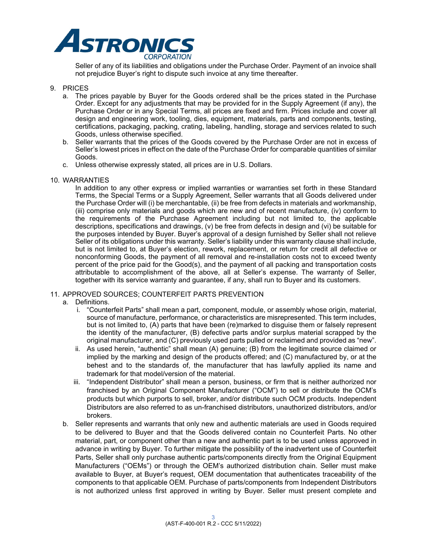

Seller of any of its liabilities and obligations under the Purchase Order. Payment of an invoice shall not prejudice Buyer's right to dispute such invoice at any time thereafter.

#### 9. PRICES

- a. The prices payable by Buyer for the Goods ordered shall be the prices stated in the Purchase Order. Except for any adjustments that may be provided for in the Supply Agreement (if any), the Purchase Order or in any Special Terms, all prices are fixed and firm. Prices include and cover all design and engineering work, tooling, dies, equipment, materials, parts and components, testing, certifications, packaging, packing, crating, labeling, handling, storage and services related to such Goods, unless otherwise specified.
- b. Seller warrants that the prices of the Goods covered by the Purchase Order are not in excess of Seller's lowest prices in effect on the date of the Purchase Order for comparable quantities of similar Goods.
- c. Unless otherwise expressly stated, all prices are in U.S. Dollars.
- 10. WARRANTIES

In addition to any other express or implied warranties or warranties set forth in these Standard Terms, the Special Terms or a Supply Agreement, Seller warrants that all Goods delivered under the Purchase Order will (i) be merchantable, (ii) be free from defects in materials and workmanship, (iii) comprise only materials and goods which are new and of recent manufacture, (iv) conform to the requirements of the Purchase Agreement including but not limited to, the applicable descriptions, specifications and drawings, (v) be free from defects in design and (vi) be suitable for the purposes intended by Buyer. Buyer's approval of a design furnished by Seller shall not relieve Seller of its obligations under this warranty. Seller's liability under this warranty clause shall include, but is not limited to, at Buyer's election, rework, replacement, or return for credit all defective or nonconforming Goods, the payment of all removal and re-installation costs not to exceed twenty percent of the price paid for the Good(s), and the payment of all packing and transportation costs attributable to accomplishment of the above, all at Seller's expense. The warranty of Seller, together with its service warranty and guarantee, if any, shall run to Buyer and its customers.

### 11. APPROVED SOURCES; COUNTERFEIT PARTS PREVENTION

- a. Definitions.
	- i. "Counterfeit Parts" shall mean a part, component, module, or assembly whose origin, material, source of manufacture, performance, or characteristics are misrepresented. This term includes, but is not limited to, (A) parts that have been (re)marked to disguise them or falsely represent the identity of the manufacturer, (B) defective parts and/or surplus material scrapped by the original manufacturer, and (C) previously used parts pulled or reclaimed and provided as "new".
	- ii. As used herein, "authentic" shall mean (A) genuine; (B) from the legitimate source claimed or implied by the marking and design of the products offered; and (C) manufactured by, or at the behest and to the standards of, the manufacturer that has lawfully applied its name and trademark for that model/version of the material.
	- iii. "Independent Distributor" shall mean a person, business, or firm that is neither authorized nor franchised by an Original Component Manufacturer ("OCM") to sell or distribute the OCM's products but which purports to sell, broker, and/or distribute such OCM products. Independent Distributors are also referred to as un-franchised distributors, unauthorized distributors, and/or brokers.
- b. Seller represents and warrants that only new and authentic materials are used in Goods required to be delivered to Buyer and that the Goods delivered contain no Counterfeit Parts. No other material, part, or component other than a new and authentic part is to be used unless approved in advance in writing by Buyer. To further mitigate the possibility of the inadvertent use of Counterfeit Parts, Seller shall only purchase authentic parts/components directly from the Original Equipment Manufacturers ("OEMs") or through the OEM's authorized distribution chain. Seller must make available to Buyer, at Buyer's request, OEM documentation that authenticates traceability of the components to that applicable OEM. Purchase of parts/components from Independent Distributors is not authorized unless first approved in writing by Buyer. Seller must present complete and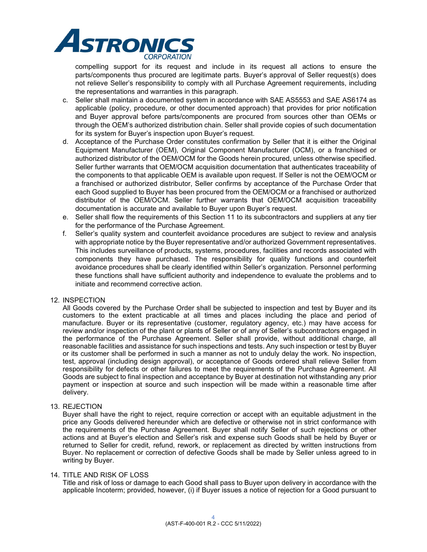

compelling support for its request and include in its request all actions to ensure the parts/components thus procured are legitimate parts. Buyer's approval of Seller request(s) does not relieve Seller's responsibility to comply with all Purchase Agreement requirements, including the representations and warranties in this paragraph.

- c. Seller shall maintain a documented system in accordance with SAE AS5553 and SAE AS6174 as applicable (policy, procedure, or other documented approach) that provides for prior notification and Buyer approval before parts/components are procured from sources other than OEMs or through the OEM's authorized distribution chain. Seller shall provide copies of such documentation for its system for Buyer's inspection upon Buyer's request.
- d. Acceptance of the Purchase Order constitutes confirmation by Seller that it is either the Original Equipment Manufacturer (OEM), Original Component Manufacturer (OCM), or a franchised or authorized distributor of the OEM/OCM for the Goods herein procured, unless otherwise specified. Seller further warrants that OEM/OCM acquisition documentation that authenticates traceability of the components to that applicable OEM is available upon request. If Seller is not the OEM/OCM or a franchised or authorized distributor, Seller confirms by acceptance of the Purchase Order that each Good supplied to Buyer has been procured from the OEM/OCM or a franchised or authorized distributor of the OEM/OCM. Seller further warrants that OEM/OCM acquisition traceability documentation is accurate and available to Buyer upon Buyer's request.
- e. Seller shall flow the requirements of this Section 11 to its subcontractors and suppliers at any tier for the performance of the Purchase Agreement.
- f. Seller's quality system and counterfeit avoidance procedures are subject to review and analysis with appropriate notice by the Buyer representative and/or authorized Government representatives. This includes surveillance of products, systems, procedures, facilities and records associated with components they have purchased. The responsibility for quality functions and counterfeit avoidance procedures shall be clearly identified within Seller's organization. Personnel performing these functions shall have sufficient authority and independence to evaluate the problems and to initiate and recommend corrective action.

### 12. INSPECTION

All Goods covered by the Purchase Order shall be subjected to inspection and test by Buyer and its customers to the extent practicable at all times and places including the place and period of manufacture. Buyer or its representative (customer, regulatory agency, etc.) may have access for review and/or inspection of the plant or plants of Seller or of any of Seller's subcontractors engaged in the performance of the Purchase Agreement. Seller shall provide, without additional charge, all reasonable facilities and assistance for such inspections and tests. Any such inspection or test by Buyer or its customer shall be performed in such a manner as not to unduly delay the work. No inspection, test, approval (including design approval), or acceptance of Goods ordered shall relieve Seller from responsibility for defects or other failures to meet the requirements of the Purchase Agreement. All Goods are subject to final inspection and acceptance by Buyer at destination not withstanding any prior payment or inspection at source and such inspection will be made within a reasonable time after delivery.

#### 13. REJECTION

Buyer shall have the right to reject, require correction or accept with an equitable adjustment in the price any Goods delivered hereunder which are defective or otherwise not in strict conformance with the requirements of the Purchase Agreement. Buyer shall notify Seller of such rejections or other actions and at Buyer's election and Seller's risk and expense such Goods shall be held by Buyer or returned to Seller for credit, refund, rework, or replacement as directed by written instructions from Buyer. No replacement or correction of defective Goods shall be made by Seller unless agreed to in writing by Buyer.

#### 14. TITLE AND RISK OF LOSS

Title and risk of loss or damage to each Good shall pass to Buyer upon delivery in accordance with the applicable Incoterm; provided, however, (i) if Buyer issues a notice of rejection for a Good pursuant to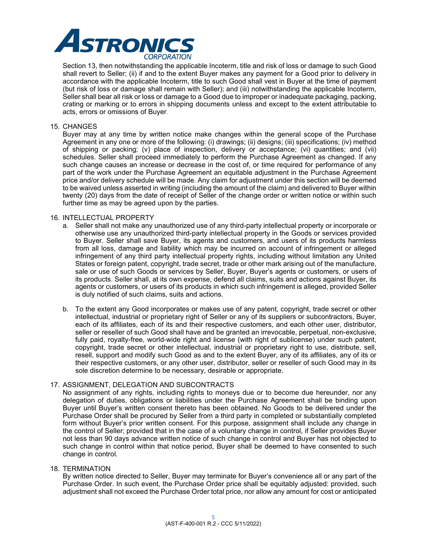

Section 13, then notwithstanding the applicable Incoterm, title and risk of loss or damage to such Good shall revert to Seller; (ii) if and to the extent Buyer makes any payment for a Good prior to delivery in accordance with the applicable Incoterm, title to such Good shall vest in Buyer at the time of payment (but risk of loss or damage shall remain with Seller); and (iii) notwithstanding the applicable Incoterm, Seller shall bear all risk or loss or damage to a Good due to improper or inadequate packaging, packing, crating or marking or to errors in shipping documents unless and except to the extent attributable to acts, errors or omissions of Buyer.

### 15. CHANGES

Buyer may at any time by written notice make changes within the general scope of the Purchase Agreement in any one or more of the following: (i) drawings; (ii) designs; (iii) specifications; (iv) method of shipping or packing; (v) place of inspection, delivery or acceptance; (vi) quantities; and (vii) schedules. Seller shall proceed immediately to perform the Purchase Agreement as changed. If any such change causes an increase or decrease in the cost of, or time required for performance of any part of the work under the Purchase Agreement an equitable adjustment in the Purchase Agreement price and/or delivery schedule will be made. Any claim for adjustment under this section will be deemed to be waived unless asserted in writing (including the amount of the claim) and delivered to Buyer within twenty (20) days from the date of receipt of Seller of the change order or written notice or within such further time as may be agreed upon by the parties.

#### 16. INTELLECTUAL PROPERTY

- a. Seller shall not make any unauthorized use of any third-party intellectual property or incorporate or otherwise use any unauthorized third-party intellectual property in the Goods or services provided to Buyer. Seller shall save Buyer, its agents and customers, and users of its products harmless from all loss, damage and liability which may be incurred on account of infringement or alleged infringement of any third party intellectual property rights, including without limitation any United States or foreign patent, copyright, trade secret, trade or other mark arising out of the manufacture, sale or use of such Goods or services by Seller, Buyer, Buyer's agents or customers, or users of its products. Seller shall, at its own expense, defend all claims, suits and actions against Buyer, its agents or customers, or users of its products in which such infringement is alleged, provided Seller is duly notified of such claims, suits and actions.
- b. To the extent any Good incorporates or makes use of any patent, copyright, trade secret or other intellectual, industrial or proprietary right of Seller or any of its suppliers or subcontractors, Buyer, each of its affiliates, each of its and their respective customers, and each other user, distributor, seller or reseller of such Good shall have and be granted an irrevocable, perpetual, non-exclusive, fully paid, royalty-free, world-wide right and license (with right of sublicense) under such patent, copyright, trade secret or other intellectual, industrial or proprietary right to use, distribute, sell, resell, support and modify such Good as and to the extent Buyer, any of its affiliates, any of its or their respective customers, or any other user, distributor, seller or reseller of such Good may in its sole discretion determine to be necessary, desirable or appropriate.

### 17. ASSIGNMENT, DELEGATION AND SUBCONTRACTS

No assignment of any rights, including rights to moneys due or to become due hereunder, nor any delegation of duties, obligations or liabilities under the Purchase Agreement shall be binding upon Buyer until Buyer's written consent thereto has been obtained. No Goods to be delivered under the Purchase Order shall be procured by Seller from a third party in completed or substantially completed form without Buyer's prior written consent. For this purpose, assignment shall include any change in the control of Seller; provided that in the case of a voluntary change in control, if Seller provides Buyer not less than 90 days advance written notice of such change in control and Buyer has not objected to such change in control within that notice period, Buyer shall be deemed to have consented to such change in control.

#### 18. TERMINATION

By written notice directed to Seller, Buyer may terminate for Buyer's convenience all or any part of the Purchase Order. In such event, the Purchase Order price shall be equitably adjusted: provided, such adjustment shall not exceed the Purchase Order total price, nor allow any amount for cost or anticipated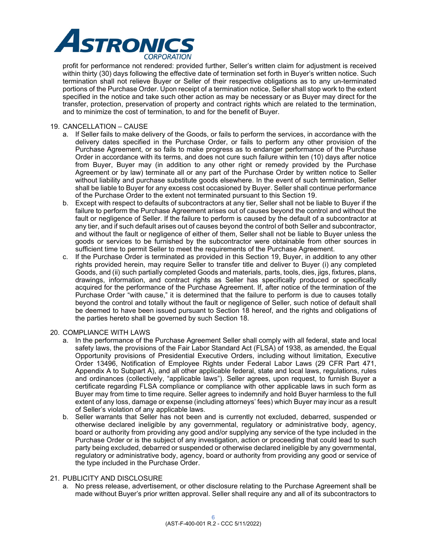

profit for performance not rendered: provided further, Seller's written claim for adjustment is received within thirty (30) days following the effective date of termination set forth in Buyer's written notice. Such termination shall not relieve Buyer or Seller of their respective obligations as to any un-terminated portions of the Purchase Order. Upon receipt of a termination notice, Seller shall stop work to the extent specified in the notice and take such other action as may be necessary or as Buyer may direct for the transfer, protection, preservation of property and contract rights which are related to the termination, and to minimize the cost of termination, to and for the benefit of Buyer.

### 19. CANCELLATION – CAUSE

- a. If Seller fails to make delivery of the Goods, or fails to perform the services, in accordance with the delivery dates specified in the Purchase Order, or fails to perform any other provision of the Purchase Agreement, or so fails to make progress as to endanger performance of the Purchase Order in accordance with its terms, and does not cure such failure within ten (10) days after notice from Buyer, Buyer may (in addition to any other right or remedy provided by the Purchase Agreement or by law) terminate all or any part of the Purchase Order by written notice to Seller without liability and purchase substitute goods elsewhere. In the event of such termination, Seller shall be liable to Buyer for any excess cost occasioned by Buyer. Seller shall continue performance of the Purchase Order to the extent not terminated pursuant to this Section 19.
- b. Except with respect to defaults of subcontractors at any tier, Seller shall not be liable to Buyer if the failure to perform the Purchase Agreement arises out of causes beyond the control and without the fault or negligence of Seller. If the failure to perform is caused by the default of a subcontractor at any tier, and if such default arises out of causes beyond the control of both Seller and subcontractor, and without the fault or negligence of either of them, Seller shall not be liable to Buyer unless the goods or services to be furnished by the subcontractor were obtainable from other sources in sufficient time to permit Seller to meet the requirements of the Purchase Agreement.
- c. If the Purchase Order is terminated as provided in this Section 19, Buyer, in addition to any other rights provided herein, may require Seller to transfer title and deliver to Buyer (i) any completed Goods, and (ii) such partially completed Goods and materials, parts, tools, dies, jigs, fixtures, plans, drawings, information, and contract rights as Seller has specifically produced or specifically acquired for the performance of the Purchase Agreement. If, after notice of the termination of the Purchase Order "with cause," it is determined that the failure to perform is due to causes totally beyond the control and totally without the fault or negligence of Seller, such notice of default shall be deemed to have been issued pursuant to Section 18 hereof, and the rights and obligations of the parties hereto shall be governed by such Section 18.

#### 20. COMPLIANCE WITH LAWS

- a. In the performance of the Purchase Agreement Seller shall comply with all federal, state and local safety laws, the provisions of the Fair Labor Standard Act (FLSA) of 1938, as amended, the Equal Opportunity provisions of Presidential Executive Orders, including without limitation, Executive Order 13496, Notification of Employee Rights under Federal Labor Laws (29 CFR Part 471, Appendix A to Subpart A), and all other applicable federal, state and local laws, regulations, rules and ordinances (collectively, "applicable laws"). Seller agrees, upon request, to furnish Buyer a certificate regarding FLSA compliance or compliance with other applicable laws in such form as Buyer may from time to time require. Seller agrees to indemnify and hold Buyer harmless to the full extent of any loss, damage or expense (including attorneys' fees) which Buyer may incur as a result of Seller's violation of any applicable laws.
- b. Seller warrants that Seller has not been and is currently not excluded, debarred, suspended or otherwise declared ineligible by any governmental, regulatory or administrative body, agency, board or authority from providing any good and/or supplying any service of the type included in the Purchase Order or is the subject of any investigation, action or proceeding that could lead to such party being excluded, debarred or suspended or otherwise declared ineligible by any governmental, regulatory or administrative body, agency, board or authority from providing any good or service of the type included in the Purchase Order.

### 21. PUBLICITY AND DISCLOSURE

a. No press release, advertisement, or other disclosure relating to the Purchase Agreement shall be made without Buyer's prior written approval. Seller shall require any and all of its subcontractors to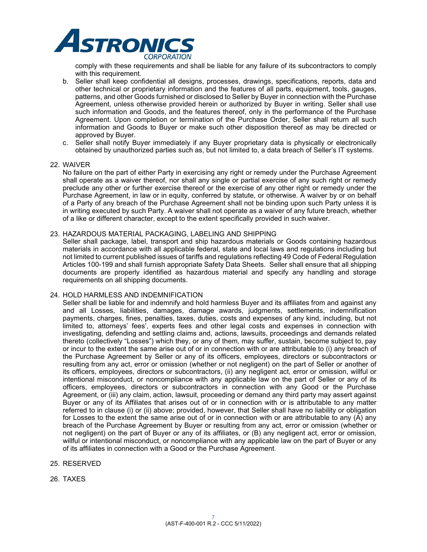

comply with these requirements and shall be liable for any failure of its subcontractors to comply with this requirement.

- b. Seller shall keep confidential all designs, processes, drawings, specifications, reports, data and other technical or proprietary information and the features of all parts, equipment, tools, gauges, patterns, and other Goods furnished or disclosed to Seller by Buyer in connection with the Purchase Agreement, unless otherwise provided herein or authorized by Buyer in writing. Seller shall use such information and Goods, and the features thereof, only in the performance of the Purchase Agreement. Upon completion or termination of the Purchase Order, Seller shall return all such information and Goods to Buyer or make such other disposition thereof as may be directed or approved by Buyer.
- c. Seller shall notify Buyer immediately if any Buyer proprietary data is physically or electronically obtained by unauthorized parties such as, but not limited to, a data breach of Seller's IT systems.

#### 22. WAIVER

No failure on the part of either Party in exercising any right or remedy under the Purchase Agreement shall operate as a waiver thereof, nor shall any single or partial exercise of any such right or remedy preclude any other or further exercise thereof or the exercise of any other right or remedy under the Purchase Agreement, in law or in equity, conferred by statute, or otherwise. A waiver by or on behalf of a Party of any breach of the Purchase Agreement shall not be binding upon such Party unless it is in writing executed by such Party. A waiver shall not operate as a waiver of any future breach, whether of a like or different character, except to the extent specifically provided in such waiver.

#### 23. HAZARDOUS MATERIAL PACKAGING, LABELING AND SHIPPING

Seller shall package, label, transport and ship hazardous materials or Goods containing hazardous materials in accordance with all applicable federal, state and local laws and regulations including but not limited to current published issues of tariffs and regulations reflecting 49 Code of Federal Regulation Articles 100-199 and shall furnish appropriate Safety Data Sheets. Seller shall ensure that all shipping documents are properly identified as hazardous material and specify any handling and storage requirements on all shipping documents.

#### 24. HOLD HARMLESS AND INDEMNIFICATION

Seller shall be liable for and indemnify and hold harmless Buyer and its affiliates from and against any and all Losses, liabilities, damages, damage awards, judgments, settlements, indemnification payments, charges, fines, penalties, taxes, duties, costs and expenses of any kind, including, but not limited to, attorneys' fees', experts fees and other legal costs and expenses in connection with investigating, defending and settling claims and, actions, lawsuits, proceedings and demands related thereto (collectively "Losses") which they, or any of them, may suffer, sustain, become subject to, pay or incur to the extent the same arise out of or in connection with or are attributable to (i) any breach of the Purchase Agreement by Seller or any of its officers, employees, directors or subcontractors or resulting from any act, error or omission (whether or not negligent) on the part of Seller or another of its officers, employees, directors or subcontractors, (ii) any negligent act, error or omission, willful or intentional misconduct, or noncompliance with any applicable law on the part of Seller or any of its officers, employees, directors or subcontractors in connection with any Good or the Purchase Agreement, or (iii) any claim, action, lawsuit, proceeding or demand any third party may assert against Buyer or any of its Affiliates that arises out of or in connection with or is attributable to any matter referred to in clause (i) or (ii) above; provided, however, that Seller shall have no liability or obligation for Losses to the extent the same arise out of or in connection with or are attributable to any (A) any breach of the Purchase Agreement by Buyer or resulting from any act, error or omission (whether or not negligent) on the part of Buyer or any of its affiliates, or (B) any negligent act, error or omission, willful or intentional misconduct, or noncompliance with any applicable law on the part of Buyer or any of its affiliates in connection with a Good or the Purchase Agreement.

- 25. RESERVED
- 26. TAXES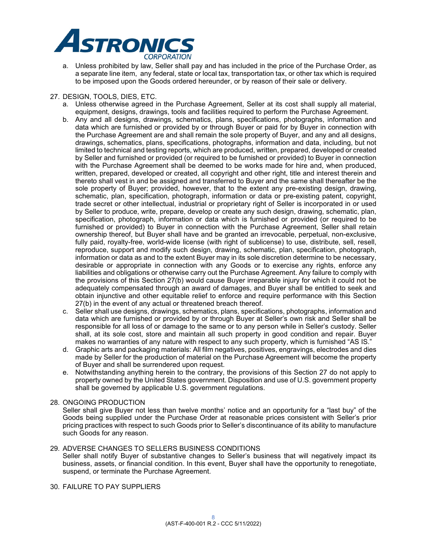

a. Unless prohibited by law, Seller shall pay and has included in the price of the Purchase Order, as a separate line item, any federal, state or local tax, transportation tax, or other tax which is required to be imposed upon the Goods ordered hereunder, or by reason of their sale or delivery.

### 27. DESIGN, TOOLS, DIES, ETC.

- a. Unless otherwise agreed in the Purchase Agreement, Seller at its cost shall supply all material, equipment, designs, drawings, tools and facilities required to perform the Purchase Agreement.
- b. Any and all designs, drawings, schematics, plans, specifications, photographs, information and data which are furnished or provided by or through Buyer or paid for by Buyer in connection with the Purchase Agreement are and shall remain the sole property of Buyer, and any and all designs, drawings, schematics, plans, specifications, photographs, information and data, including, but not limited to technical and testing reports, which are produced, written, prepared, developed or created by Seller and furnished or provided (or required to be furnished or provided) to Buyer in connection with the Purchase Agreement shall be deemed to be works made for hire and, when produced, written, prepared, developed or created, all copyright and other right, title and interest therein and thereto shall vest in and be assigned and transferred to Buyer and the same shall thereafter be the sole property of Buyer; provided, however, that to the extent any pre-existing design, drawing, schematic, plan, specification, photograph, information or data or pre-existing patent, copyright, trade secret or other intellectual, industrial or proprietary right of Seller is incorporated in or used by Seller to produce, write, prepare, develop or create any such design, drawing, schematic, plan, specification, photograph, information or data which is furnished or provided (or required to be furnished or provided) to Buyer in connection with the Purchase Agreement, Seller shall retain ownership thereof, but Buyer shall have and be granted an irrevocable, perpetual, non-exclusive, fully paid, royalty-free, world-wide license (with right of sublicense) to use, distribute, sell, resell, reproduce, support and modify such design, drawing, schematic, plan, specification, photograph, information or data as and to the extent Buyer may in its sole discretion determine to be necessary, desirable or appropriate in connection with any Goods or to exercise any rights, enforce any liabilities and obligations or otherwise carry out the Purchase Agreement. Any failure to comply with the provisions of this Section 27(b) would cause Buyer irreparable injury for which it could not be adequately compensated through an award of damages, and Buyer shall be entitled to seek and obtain injunctive and other equitable relief to enforce and require performance with this Section 27(b) in the event of any actual or threatened breach thereof.
- c. Seller shall use designs, drawings, schematics, plans, specifications, photographs, information and data which are furnished or provided by or through Buyer at Seller's own risk and Seller shall be responsible for all loss of or damage to the same or to any person while in Seller's custody. Seller shall, at its sole cost, store and maintain all such property in good condition and repair. Buyer makes no warranties of any nature with respect to any such property, which is furnished "AS IS."
- d. Graphic arts and packaging materials: All film negatives, positives, engravings, electrodes and dies made by Seller for the production of material on the Purchase Agreement will become the property of Buyer and shall be surrendered upon request.
- e. Notwithstanding anything herein to the contrary, the provisions of this Section 27 do not apply to property owned by the United States government. Disposition and use of U.S. government property shall be governed by applicable U.S. government regulations.

#### 28. ONGOING PRODUCTION

Seller shall give Buyer not less than twelve months' notice and an opportunity for a "last buy" of the Goods being supplied under the Purchase Order at reasonable prices consistent with Seller's prior pricing practices with respect to such Goods prior to Seller's discontinuance of its ability to manufacture such Goods for any reason.

### 29. ADVERSE CHANGES TO SELLERS BUSINESS CONDITIONS

Seller shall notify Buyer of substantive changes to Seller's business that will negatively impact its business, assets, or financial condition. In this event, Buyer shall have the opportunity to renegotiate, suspend, or terminate the Purchase Agreement.

## 30. FAILURE TO PAY SUPPLIERS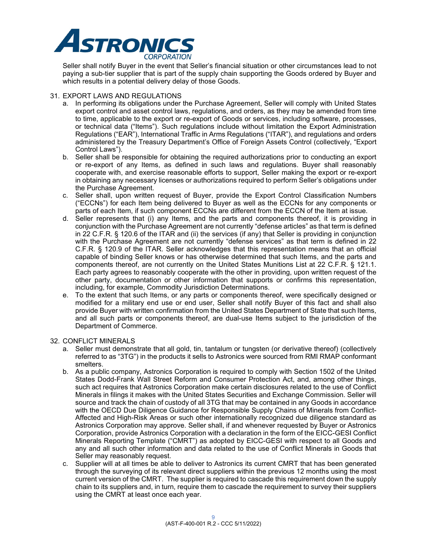

Seller shall notify Buyer in the event that Seller's financial situation or other circumstances lead to not paying a sub-tier supplier that is part of the supply chain supporting the Goods ordered by Buyer and which results in a potential delivery delay of those Goods.

### 31. EXPORT LAWS AND REGULATIONS

- a. In performing its obligations under the Purchase Agreement, Seller will comply with United States export control and asset control laws, regulations, and orders, as they may be amended from time to time, applicable to the export or re-export of Goods or services, including software, processes, or technical data ("Items"). Such regulations include without limitation the Export Administration Regulations ("EAR"), International Traffic in Arms Regulations ("ITAR"), and regulations and orders administered by the Treasury Department's Office of Foreign Assets Control (collectively, "Export Control Laws").
- b. Seller shall be responsible for obtaining the required authorizations prior to conducting an export or re-export of any Items, as defined in such laws and regulations. Buyer shall reasonably cooperate with, and exercise reasonable efforts to support, Seller making the export or re-export in obtaining any necessary licenses or authorizations required to perform Seller's obligations under the Purchase Agreement.
- c. Seller shall, upon written request of Buyer, provide the Export Control Classification Numbers ("ECCNs") for each Item being delivered to Buyer as well as the ECCNs for any components or parts of each Item, if such component ECCNs are different from the ECCN of the Item at issue.
- d. Seller represents that (i) any Items, and the parts and components thereof, it is providing in conjunction with the Purchase Agreement are not currently "defense articles" as that term is defined in 22 C.F.R. § 120.6 of the ITAR and (ii) the services (if any) that Seller is providing in conjunction with the Purchase Agreement are not currently "defense services" as that term is defined in 22 C.F.R. § 120.9 of the ITAR. Seller acknowledges that this representation means that an official capable of binding Seller knows or has otherwise determined that such Items, and the parts and components thereof, are not currently on the United States Munitions List at 22 C.F.R. § 121.1. Each party agrees to reasonably cooperate with the other in providing, upon written request of the other party, documentation or other information that supports or confirms this representation, including, for example, Commodity Jurisdiction Determinations.
- e. To the extent that such Items, or any parts or components thereof, were specifically designed or modified for a military end use or end user, Seller shall notify Buyer of this fact and shall also provide Buyer with written confirmation from the United States Department of State that such Items, and all such parts or components thereof, are dual-use Items subject to the jurisdiction of the Department of Commerce.

### 32. CONFLICT MINERALS

- a. Seller must demonstrate that all gold, tin, tantalum or tungsten (or derivative thereof) (collectively referred to as "3TG") in the products it sells to Astronics were sourced from RMI RMAP conformant smelters.
- b. As a public company, Astronics Corporation is required to comply with Section 1502 of the United States Dodd-Frank Wall Street Reform and Consumer Protection Act, and, among other things, such act requires that Astronics Corporation make certain disclosures related to the use of Conflict Minerals in filings it makes with the United States Securities and Exchange Commission. Seller will source and track the chain of custody of all 3TG that may be contained in any Goods in accordance with the OECD Due Diligence Guidance for Responsible Supply Chains of Minerals from Conflict-Affected and High-Risk Areas or such other internationally recognized due diligence standard as Astronics Corporation may approve. Seller shall, if and whenever requested by Buyer or Astronics Corporation, provide Astronics Corporation with a declaration in the form of the EICC-GESI Conflict Minerals Reporting Template ("CMRT") as adopted by EICC-GESI with respect to all Goods and any and all such other information and data related to the use of Conflict Minerals in Goods that Seller may reasonably request.
- c. Supplier will at all times be able to deliver to Astronics its current CMRT that has been generated through the surveying of its relevant direct suppliers within the previous 12 months using the most current version of the CMRT. The supplier is required to cascade this requirement down the supply chain to its suppliers and, in turn, require them to cascade the requirement to survey their suppliers using the CMRT at least once each year.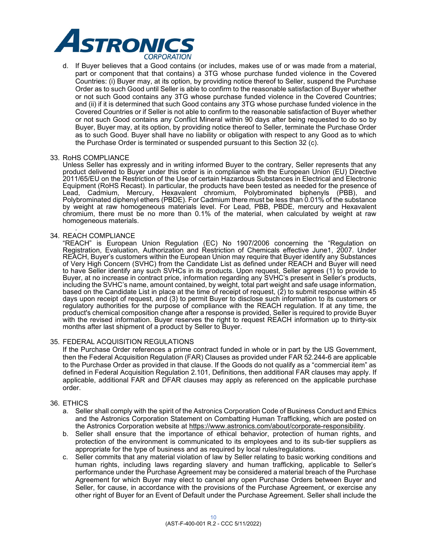

d. If Buyer believes that a Good contains (or includes, makes use of or was made from a material, part or component that that contains) a 3TG whose purchase funded violence in the Covered Countries: (i) Buyer may, at its option, by providing notice thereof to Seller, suspend the Purchase Order as to such Good until Seller is able to confirm to the reasonable satisfaction of Buyer whether or not such Good contains any 3TG whose purchase funded violence in the Covered Countries; and (ii) if it is determined that such Good contains any 3TG whose purchase funded violence in the Covered Countries or if Seller is not able to confirm to the reasonable satisfaction of Buyer whether or not such Good contains any Conflict Mineral within 90 days after being requested to do so by Buyer, Buyer may, at its option, by providing notice thereof to Seller, terminate the Purchase Order as to such Good. Buyer shall have no liability or obligation with respect to any Good as to which the Purchase Order is terminated or suspended pursuant to this Section 32 (c).

#### 33. RoHS COMPLIANCE

Unless Seller has expressly and in writing informed Buyer to the contrary, Seller represents that any product delivered to Buyer under this order is in compliance with the European Union (EU) Directive 2011/65/EU on the Restriction of the Use of certain Hazardous Substances in Electrical and Electronic Equipment (RoHS Recast). In particular, the products have been tested as needed for the presence of Lead, Cadmium, Mercury, Hexavalent chromium, Polybrominated biphenyls (PBB), and Polybrominated diphenyl ethers (PBDE). For Cadmium there must be less than 0.01% of the substance by weight at raw homogeneous materials level. For Lead, PBB, PBDE, mercury and Hexavalent chromium, there must be no more than 0.1% of the material, when calculated by weight at raw homogeneous materials.

#### *.*  34. REACH COMPLIANCE

"REACH" is European Union Regulation (EC) No 1907/2006 concerning the "Regulation on Registration, Evaluation, Authorization and Restriction of Chemicals effective June1, 2007. Under REACH, Buyer's customers within the European Union may require that Buyer identify any Substances of Very High Concern (SVHC) from the Candidate List as defined under REACH and Buyer will need to have Seller identify any such SVHCs in its products. Upon request, Seller agrees (1) to provide to Buyer, at no increase in contract price, information regarding any SVHC's present in Seller's products, including the SVHC's name, amount contained, by weight, total part weight and safe usage information, based on the Candidate List in place at the time of receipt of request, (2) to submit response within 45 days upon receipt of request, and (3) to permit Buyer to disclose such information to its customers or regulatory authorities for the purpose of compliance with the REACH regulation. If at any time, the product's chemical composition change after a response is provided, Seller is required to provide Buyer with the revised information. Buyer reserves the right to request REACH information up to thirty-six months after last shipment of a product by Seller to Buyer.

#### 35. FEDERAL ACQUISITION REGULATIONS

If the Purchase Order references a prime contract funded in whole or in part by the US Government, then the Federal Acquisition Regulation (FAR) Clauses as provided under FAR 52.244-6 are applicable to the Purchase Order as provided in that clause. If the Goods do not qualify as a "commercial item" as defined in Federal Acquisition Regulation 2.101, Definitions, then additional FAR clauses may apply. If applicable, additional FAR and DFAR clauses may apply as referenced on the applicable purchase order.

### 36. ETHICS

- a. Seller shall comply with the spirit of the Astronics Corporation Code of Business Conduct and Ethics and the Astronics Corporation Statement on Combatting Human Trafficking, which are posted on the Astronics Corporation website at https://www.astronics.com/about/corporate-responsibility.
- b. Seller shall ensure that the importance of ethical behavior, protection of human rights, and protection of the environment is communicated to its employees and to its sub-tier suppliers as appropriate for the type of business and as required by local rules/regulations.
- c. Seller commits that any material violation of law by Seller relating to basic working conditions and human rights, including laws regarding slavery and human trafficking, applicable to Seller's performance under the Purchase Agreement may be considered a material breach of the Purchase Agreement for which Buyer may elect to cancel any open Purchase Orders between Buyer and Seller, for cause, in accordance with the provisions of the Purchase Agreement, or exercise any other right of Buyer for an Event of Default under the Purchase Agreement. Seller shall include the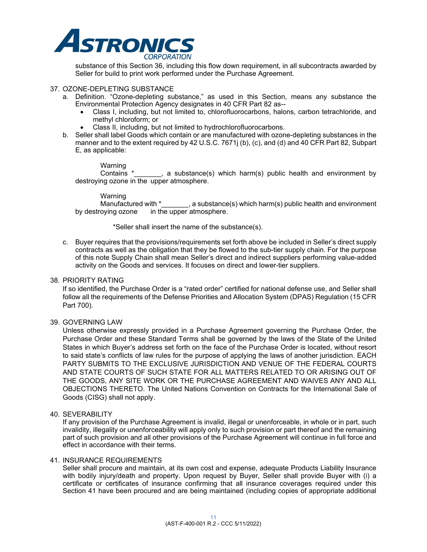

substance of this Section 36, including this flow down requirement, in all subcontracts awarded by Seller for build to print work performed under the Purchase Agreement.

#### 37. OZONE-DEPLETING SUBSTANCE

- a. Definition. "Ozone-depleting substance," as used in this Section, means any substance the Environmental Protection Agency designates in 40 CFR Part 82 as--
	- Class I, including, but not limited to, chlorofluorocarbons, halons, carbon tetrachloride, and methyl chloroform; or
	- Class II, including, but not limited to hydrochlorofluorocarbons.
- b. Seller shall label Goods which contain or are manufactured with ozone-depleting substances in the manner and to the extent required by 42 U.S.C. 7671j (b), (c), and (d) and 40 CFR Part 82, Subpart E, as applicable:

Warning

Contains \*\_\_\_\_\_\_, a substance(s) which harm(s) public health and environment by destroying ozone in the upper atmosphere.

Warning<br>Manufactured with \*  $\Box$ , a substance(s) which harm(s) public health and environment by destroying ozone in the upper atmosphere.

\*Seller shall insert the name of the substance(s).

c. Buyer requires that the provisions/requirements set forth above be included in Seller's direct supply contracts as well as the obligation that they be flowed to the sub-tier supply chain. For the purpose of this note Supply Chain shall mean Seller's direct and indirect suppliers performing value-added activity on the Goods and services. It focuses on direct and lower-tier suppliers.

#### 38. PRIORITY RATING

If so identified, the Purchase Order is a "rated order" certified for national defense use, and Seller shall follow all the requirements of the Defense Priorities and Allocation System (DPAS) Regulation (15 CFR Part 700).

### 39. GOVERNING LAW

Unless otherwise expressly provided in a Purchase Agreement governing the Purchase Order, the Purchase Order and these Standard Terms shall be governed by the laws of the State of the United States in which Buyer's address set forth on the face of the Purchase Order is located, without resort to said state's conflicts of law rules for the purpose of applying the laws of another jurisdiction. EACH PARTY SUBMITS TO THE EXCLUSIVE JURISDICTION AND VENUE OF THE FEDERAL COURTS AND STATE COURTS OF SUCH STATE FOR ALL MATTERS RELATED TO OR ARISING OUT OF THE GOODS, ANY SITE WORK OR THE PURCHASE AGREEMENT AND WAIVES ANY AND ALL OBJECTIONS THERETO. The United Nations Convention on Contracts for the International Sale of Goods (CISG) shall not apply.

#### 40. SEVERABILITY

If any provision of the Purchase Agreement is invalid, illegal or unenforceable, in whole or in part, such invalidity, illegality or unenforceability will apply only to such provision or part thereof and the remaining part of such provision and all other provisions of the Purchase Agreement will continue in full force and effect in accordance with their terms.

### 41. INSURANCE REQUIREMENTS

Seller shall procure and maintain, at its own cost and expense, adequate Products Liability Insurance with bodily injury/death and property. Upon request by Buyer, Seller shall provide Buyer with (i) a certificate or certificates of insurance confirming that all insurance coverages required under this Section 41 have been procured and are being maintained (including copies of appropriate additional